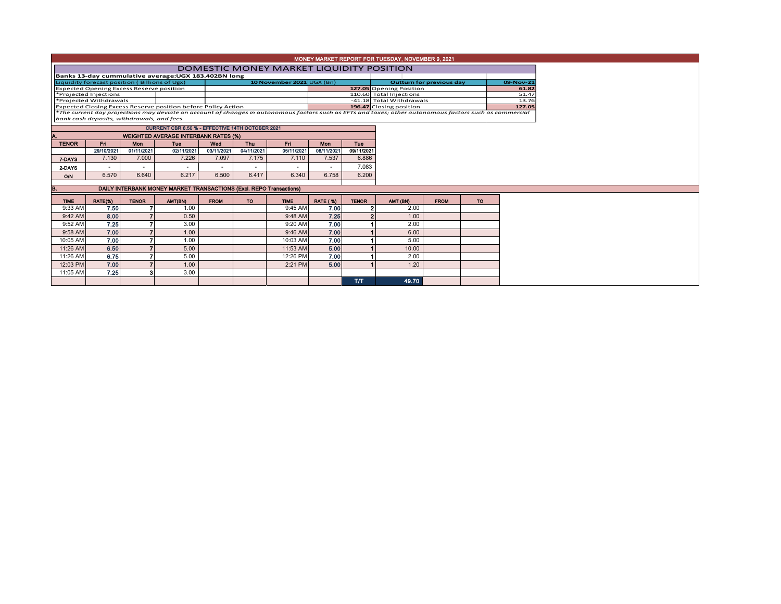|                                                                            |                                            |                          |                                                                     |             |                          |                          |                 |                         | MONEY MARKET REPORT FOR TUESDAY, NOVEMBER 9, 2021                                                                                                        |                                 |           |  |
|----------------------------------------------------------------------------|--------------------------------------------|--------------------------|---------------------------------------------------------------------|-------------|--------------------------|--------------------------|-----------------|-------------------------|----------------------------------------------------------------------------------------------------------------------------------------------------------|---------------------------------|-----------|--|
|                                                                            |                                            |                          |                                                                     |             |                          |                          |                 |                         | DOMESTIC MONEY MARKET LIQUIDITY POSITION                                                                                                                 |                                 |           |  |
|                                                                            |                                            |                          | Banks 13-day cummulative average: UGX 183.402BN long                |             |                          |                          |                 |                         |                                                                                                                                                          |                                 |           |  |
| Liquidity forecast position (Billions of Ugx)<br>10 November 2021 UGX (Bn) |                                            |                          |                                                                     |             |                          |                          |                 |                         |                                                                                                                                                          | <b>Outturn for previous day</b> |           |  |
| <b>Expected Opening Excess Reserve position</b>                            |                                            |                          |                                                                     |             |                          |                          |                 |                         | 127.05 Opening Position                                                                                                                                  |                                 |           |  |
| *Projected Injections                                                      |                                            |                          |                                                                     |             |                          |                          |                 | 110.60 Total Injections |                                                                                                                                                          |                                 |           |  |
|                                                                            | *Projected Withdrawals                     |                          |                                                                     |             |                          |                          |                 |                         | -41.18 Total Withdrawals                                                                                                                                 |                                 |           |  |
|                                                                            |                                            |                          | Expected Closing Excess Reserve position before Policy Action       |             |                          |                          |                 |                         | 196.47 Closing position                                                                                                                                  |                                 |           |  |
|                                                                            |                                            |                          |                                                                     |             |                          |                          |                 |                         | *The current day projections may deviate on account of changes in autonomous factors such as EFTs and taxes; other autonomous factors such as commercial |                                 |           |  |
|                                                                            | bank cash deposits, withdrawals, and fees. |                          |                                                                     |             |                          |                          |                 |                         |                                                                                                                                                          |                                 |           |  |
|                                                                            |                                            |                          | CURRENT CBR 6.50 % - EFFECTIVE 14TH OCTOBER 2021                    |             |                          |                          |                 |                         |                                                                                                                                                          |                                 |           |  |
| <b>WEIGHTED AVERAGE INTERBANK RATES (%)</b>                                |                                            |                          |                                                                     |             |                          |                          |                 |                         |                                                                                                                                                          |                                 |           |  |
| <b>TENOR</b>                                                               | Fn.                                        | <b>Mon</b>               | <b>Tue</b>                                                          | Wed         | Thu                      | Fri.                     | <b>Mon</b>      | Tue                     |                                                                                                                                                          |                                 |           |  |
|                                                                            | 29/10/2021                                 | 01/11/2021               | 02/11/2021                                                          | 03/11/2021  | 04/11/2021               | 05/11/2021               | 08/11/2021      | 09/11/2021              |                                                                                                                                                          |                                 |           |  |
| 7-DAYS                                                                     | 7.130                                      | 7.000                    | 7.226                                                               | 7.097       | 7.175                    | 7.110                    | 7.537           | 6.886                   |                                                                                                                                                          |                                 |           |  |
| 2-DAYS                                                                     | ٠                                          | $\overline{\phantom{a}}$ | $\sim$                                                              |             | $\overline{\phantom{a}}$ | $\overline{\phantom{a}}$ | $\sim$          | 7.083                   |                                                                                                                                                          |                                 |           |  |
| O/N                                                                        | 6.570                                      | 6.640                    | 6.217                                                               | 6.500       | 6.417                    | 6.340                    | 6.758           | 6.200                   |                                                                                                                                                          |                                 |           |  |
|                                                                            |                                            |                          |                                                                     |             |                          |                          |                 |                         |                                                                                                                                                          |                                 |           |  |
| В.                                                                         |                                            |                          | DAILY INTERBANK MONEY MARKET TRANSACTIONS (Excl. REPO Transactions) |             |                          |                          |                 |                         |                                                                                                                                                          |                                 |           |  |
|                                                                            |                                            |                          |                                                                     |             |                          |                          |                 |                         |                                                                                                                                                          |                                 |           |  |
| <b>TIME</b>                                                                | RATE(%)                                    | <b>TENOR</b>             | AMT(BN)                                                             | <b>FROM</b> | TO.                      | <b>TIME</b>              | <b>RATE (%)</b> | <b>TENOR</b>            | AMT (BN)                                                                                                                                                 | <b>FROM</b>                     | <b>TO</b> |  |
| 9:33 AM                                                                    | 7.50                                       |                          | 1.00                                                                |             |                          | 9:45 AM                  | 7.00            | $\overline{2}$          | 2.00                                                                                                                                                     |                                 |           |  |
| 9:42 AM                                                                    | 8.00                                       |                          | 0.50                                                                |             |                          | 9:48 AM                  | 7.25            |                         | 1.00                                                                                                                                                     |                                 |           |  |
| 9:52 AM                                                                    | 7.25                                       |                          | 3.00                                                                |             |                          | 9:20 AM                  | 7.00            |                         | 2.00                                                                                                                                                     |                                 |           |  |
| 9:58 AM                                                                    | 7.00                                       |                          | 1.00                                                                |             |                          | $9:46$ AM                | 7.00            |                         | 6.00                                                                                                                                                     |                                 |           |  |
| 10:05 AM                                                                   | 7.00                                       |                          | 1.00                                                                |             |                          | 10:03 AM                 | 7.00            |                         | 5.00                                                                                                                                                     |                                 |           |  |
| 11:26 AM                                                                   | 6.50                                       |                          | 5.00                                                                |             |                          | 11:53 AM                 | 5.00            |                         | 10.00                                                                                                                                                    |                                 |           |  |
| 11:26 AM                                                                   | 6.75                                       |                          | 5.00                                                                |             |                          | 12:26 PM                 | 7.00            |                         | 2.00                                                                                                                                                     |                                 |           |  |
| 12:03 PM                                                                   | 7.00                                       |                          | 1.00                                                                |             |                          | 2:21 PM                  | 5.00            |                         | 1.20                                                                                                                                                     |                                 |           |  |
| 11:05 AM                                                                   | 7.25                                       |                          | 3.00                                                                |             |                          |                          |                 |                         |                                                                                                                                                          |                                 |           |  |
|                                                                            |                                            |                          |                                                                     |             |                          |                          |                 | T/T                     | 49.70                                                                                                                                                    |                                 |           |  |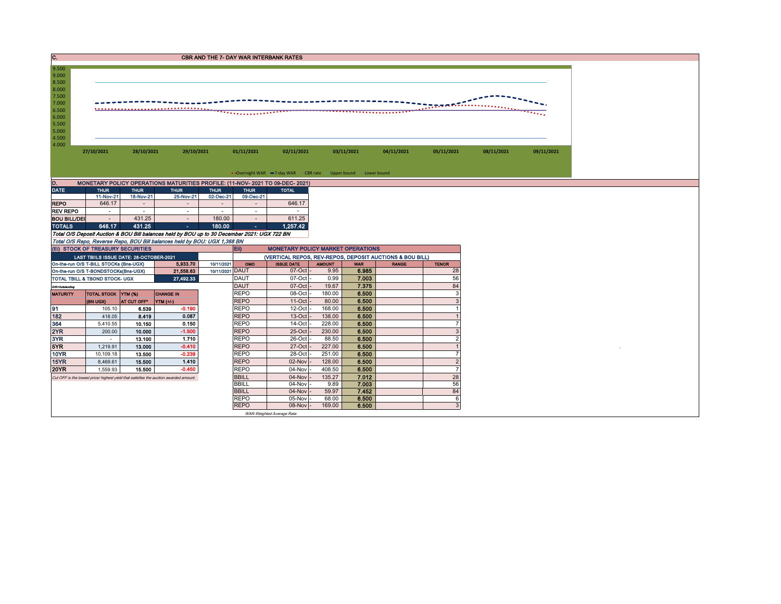| . . | <b>CBR AND THE 7- DAY WAR INTERBANK RATES</b> |
|-----|-----------------------------------------------|
|     |                                               |



| $\cdots$            |             |                              |                |             |             |              |  |  |  |  |  |  |  |  |
|---------------------|-------------|------------------------------|----------------|-------------|-------------|--------------|--|--|--|--|--|--|--|--|
| <b>DATE</b>         | <b>THUR</b> | <b>THUR</b>                  | <b>THUR</b>    | <b>THUR</b> | <b>THUR</b> | <b>TOTAL</b> |  |  |  |  |  |  |  |  |
|                     | 11-Nov-21   | 18-Nov-21                    | 25-Nov-21      | 02-Dec-21   | 09-Dec-21   |              |  |  |  |  |  |  |  |  |
| <b>REPO</b>         | 646.17      | $\qquad \qquad \blacksquare$ | $\blacksquare$ | $\sim$      |             | 646.17       |  |  |  |  |  |  |  |  |
| <b>REV REPO</b>     | $\,$        | ٠                            |                | $\,$        | ۰           | ۰            |  |  |  |  |  |  |  |  |
| <b>BOU BILL/DEI</b> |             | 431.25                       | $\blacksquare$ | 180.00      |             | 611.25       |  |  |  |  |  |  |  |  |
| <b>TOTALS</b>       | 646.17      | 431.25                       | ۰              | 180.00      | ٠           | 1.257.42     |  |  |  |  |  |  |  |  |

Total O/S Deposit Auction & BOU Bill balances held by BOU up to 30 December 2021: UGX 722 BN Total O/S Repo, Reverse Repo, BOU Bill balances held by BOU: UGX 1,368 BN

|                 | (EI) STOCK OF TREASURY SECURITIES         |                   |                                                                                       |                 | Eii)         | <b>MONETARY POLICY MARKET OPERATIONS</b>                 |               |            |              |              |  |  |  |
|-----------------|-------------------------------------------|-------------------|---------------------------------------------------------------------------------------|-----------------|--------------|----------------------------------------------------------|---------------|------------|--------------|--------------|--|--|--|
|                 | LAST TBIILS ISSUE DATE: 28-OCTOBER-2021   |                   |                                                                                       |                 |              | (VERTICAL REPOS, REV-REPOS, DEPOSIT AUCTIONS & BOU BILL) |               |            |              |              |  |  |  |
|                 | On-the-run O/S T-BILL STOCKs (Bns-UGX)    |                   | 5,933.70                                                                              | 10/11/2021      | OMO          | <b>ISSUE DATE</b>                                        | <b>AMOUNT</b> | <b>WAR</b> | <b>RANGE</b> | <b>TENOR</b> |  |  |  |
|                 | On-the-run O/S T-BONDSTOCKs(Bns-UGX)      |                   | 21,558.63                                                                             | 10/11/2021 DAUT |              | $07$ -Oct $-$                                            | 9.95          | 6.985      |              | 28           |  |  |  |
|                 | <b>TOTAL TBILL &amp; TBOND STOCK- UGX</b> |                   | 27,492.33                                                                             |                 | <b>DAUT</b>  | 07-Oct -                                                 | 0.99          | 7.003      |              | 56           |  |  |  |
| O/S=Outstanding |                                           |                   |                                                                                       |                 | <b>DAUT</b>  | $07-Cct$                                                 | 19.67         | 7.375      |              | 84           |  |  |  |
| <b>MATURITY</b> | TOTAL STOCK YTM (%)                       |                   | <b>CHANGE IN</b>                                                                      |                 | <b>REPO</b>  | 08-Oct -                                                 | 180.00        | 6.500      |              |              |  |  |  |
|                 | (BN UGX)                                  | <b>AT CUT OFF</b> | YTM (+/-)                                                                             |                 | <b>REPO</b>  | $11-Oct$ -                                               | 80.00         | 6.500      |              |              |  |  |  |
| 191             | 105.10                                    | 6.539             | $-0.190$                                                                              |                 | <b>REPO</b>  | $12$ -Oct -                                              | 168.00        | 6.500      |              |              |  |  |  |
| 182             | 418.05                                    | 8.419             | 0.087                                                                                 |                 | <b>REPO</b>  | $13-Oct$ -                                               | 138.00        | 6.500      |              |              |  |  |  |
| 364             | 5,410.55                                  | 10.150            | 0.150                                                                                 |                 | <b>REPO</b>  | $14$ -Oct $-$                                            | 228.00        | 6.500      |              |              |  |  |  |
| 2YR             | 200.00                                    | 10.000            | $-1.500$                                                                              |                 | <b>REPO</b>  | 25-Oct -                                                 | 230.00        | 6.500      |              |              |  |  |  |
| 3YR             |                                           | 13.100            | 1.710                                                                                 |                 | <b>REPO</b>  | 26-Oct -                                                 | 88.50         | 6.500      |              |              |  |  |  |
| 5YR             | 1.219.91                                  | 13.000            | $-0.410$                                                                              |                 | <b>REPO</b>  | $27$ -Oct $-$                                            | 227.00        | 6.500      |              |              |  |  |  |
| <b>10YR</b>     | 10,109.18                                 | 13.500            | $-0.239$                                                                              |                 | <b>REPO</b>  | 28-Oct -                                                 | 251.00        | 6.500      |              |              |  |  |  |
| <b>15YR</b>     | 8,469.61                                  | 15.500            | 1.410                                                                                 |                 | <b>REPO</b>  | $02$ -Nov $-$                                            | 128.00        | 6.500      |              |              |  |  |  |
| <b>20YR</b>     | 1,559.93                                  | 15.500            | $-0.450$                                                                              |                 | <b>REPO</b>  | $04-Nov$ -                                               | 408.50        | 6.500      |              |              |  |  |  |
|                 |                                           |                   | Cut OFF is the lowest price/ highest yield that satisfies the auction awarded amount. |                 | <b>BBILL</b> | $04$ -Nov $-$                                            | 135.27        | 7.012      |              | 28           |  |  |  |
| <b>BBILL</b>    |                                           |                   |                                                                                       |                 |              | $04$ -Nov $-$                                            | 9.89          | 7.003      |              | 56           |  |  |  |
| <b>BBILL</b>    |                                           |                   |                                                                                       |                 |              | $04$ -Nov $-$                                            | 59.97         | 7.452      |              | 84           |  |  |  |
|                 |                                           |                   |                                                                                       |                 | <b>REPO</b>  | 05-Nov -                                                 | 68.00         | 6.500      |              |              |  |  |  |
|                 |                                           |                   |                                                                                       |                 | <b>REPO</b>  | $08-Nov$ -                                               | 169.00        | 6.500      |              |              |  |  |  |
|                 | WAR-Weighted Average Rate                 |                   |                                                                                       |                 |              |                                                          |               |            |              |              |  |  |  |